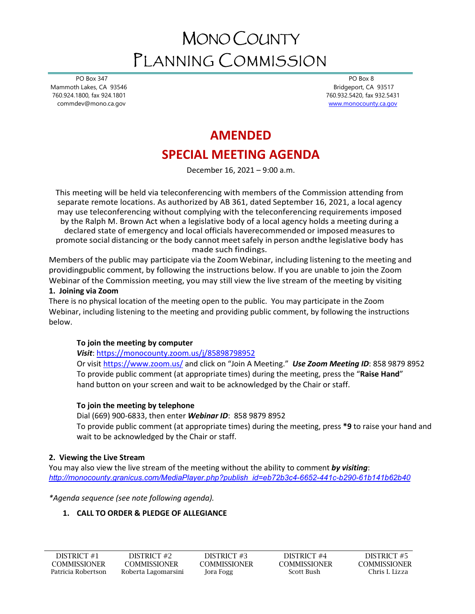# MONO COUNTY PLANNING COMMISSION

 PO Box 347 Mammoth Lakes, CA 93546 760.924.1800, fax 924.1801 commdev@mono.ca.gov

 PO Box 8 Bridgeport, CA 93517 760.932.5420, fax 932.5431 [www.monocounty.ca.gov](http://www.monocounty.ca.gov/) 

# **AMENDED**

# **SPECIAL MEETING AGENDA**

December 16, 2021 – 9:00 a.m.

This meeting will be held via teleconferencing with members of the Commission attending from separate remote locations. As authorized by AB 361, dated September 16, 2021, a local agency may use teleconferencing without complying with the teleconferencing requirements imposed by the Ralph M. Brown Act when a legislative body of a local agency holds a meeting during a declared state of emergency and local officials haverecommended or imposed measures to promote social distancing or the body cannot meet safely in person andthe legislative body has made such findings.

Members of the public may participate via the Zoom Webinar, including listening to the meeting and providingpublic comment, by following the instructions below. If you are unable to join the Zoom Webinar of the Commission meeting, you may still view the live stream of the meeting by visiting **1. Joining via Zoom**

# There is no physical location of the meeting open to the public. You may participate in the Zoom Webinar, including listening to the meeting and providing public comment, by following the instructions below.

# **To join the meeting by computer**

*Visit*: <https://monocounty.zoom.us/j/85898798952>

Or visit<https://www.zoom.us/> and click on "Join A Meeting." *Use Zoom Meeting ID*: 858 9879 8952 To provide public comment (at appropriate times) during the meeting, press the "**Raise Hand**" hand button on your screen and wait to be acknowledged by the Chair or staff.

# **To join the meeting by telephone**

Dial (669) 900-6833, then enter *Webinar ID*: 858 9879 8952 To provide public comment (at appropriate times) during the meeting, press **\*9** to raise your hand and wait to be acknowledged by the Chair or staff.

# **2. Viewing the Live Stream**

You may also view the live stream of the meeting without the ability to comment *by visiting*: *[http://monocounty.granicus.com/MediaPlayer.php?publish\\_id=eb72b3c4-6652-441c-b290-61b141b62b40](http://monocounty.granicus.com/MediaPlayer.php?publish_id=eb72b3c4-6652-441c-b290-61b141b62b40)*

*\*Agenda sequence (see note following agenda).* 

# **1. CALL TO ORDER & PLEDGE OF ALLEGIANCE**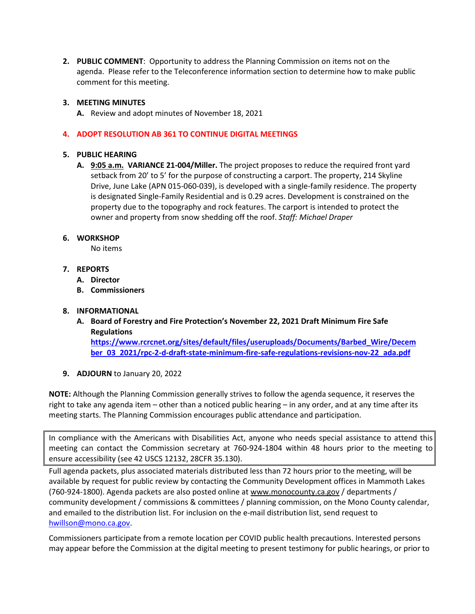**2. PUBLIC COMMENT**: Opportunity to address the Planning Commission on items not on the agenda. Please refer to the Teleconference information section to determine how to make public comment for this meeting.

### **3. MEETING MINUTES**

**A.** Review and adopt minutes of November 18, 2021

## **4. ADOPT RESOLUTION AB 361 TO CONTINUE DIGITAL MEETINGS**

#### **5. PUBLIC HEARING**

**A. 9:05 a.m. VARIANCE 21-004/Miller.** The project proposes to reduce the required front yard setback from 20' to 5' for the purpose of constructing a carport. The property, 214 Skyline Drive, June Lake (APN 015-060-039), is developed with a single-family residence. The property is designated Single-Family Residential and is 0.29 acres. Development is constrained on the property due to the topography and rock features. The carport is intended to protect the owner and property from snow shedding off the roof. *Staff: Michael Draper*

#### **6. WORKSHOP**

No items

- **7. REPORTS**
	- **A. Director**
	- **B. Commissioners**

## **8. INFORMATIONAL**

**A. Board of Forestry and Fire Protection's November 22, 2021 Draft Minimum Fire Safe Regulations [https://www.rcrcnet.org/sites/default/files/useruploads/Documents/Barbed\\_Wire/Decem](https://www.rcrcnet.org/sites/default/files/useruploads/Documents/Barbed_Wire/December_03_2021/rpc-2-d-draft-state-minimum-fire-safe-regulations-revisions-nov-22_ada.pdf)**

**[ber\\_03\\_2021/rpc-2-d-draft-state-minimum-fire-safe-regulations-revisions-nov-22\\_ada.pdf](https://www.rcrcnet.org/sites/default/files/useruploads/Documents/Barbed_Wire/December_03_2021/rpc-2-d-draft-state-minimum-fire-safe-regulations-revisions-nov-22_ada.pdf)**

**9. ADJOURN** to January 20, 2022

**NOTE:** Although the Planning Commission generally strives to follow the agenda sequence, it reserves the right to take any agenda item – other than a noticed public hearing – in any order, and at any time after its meeting starts. The Planning Commission encourages public attendance and participation.

In compliance with the Americans with Disabilities Act, anyone who needs special assistance to attend this meeting can contact the Commission secretary at 760-924-1804 within 48 hours prior to the meeting to ensure accessibility (see 42 USCS 12132, 28CFR 35.130).

Full agenda packets, plus associated materials distributed less than 72 hours prior to the meeting, will be available by request for public review by contacting the Community Development offices in Mammoth Lakes (760-924-1800). Agenda packets are also posted online at [www.monocounty.ca.gov](http://www.monocounty.ca.gov/) / departments / community development / commissions & committees / planning commission, on the Mono County calendar, and emailed to the distribution list. For inclusion on the e-mail distribution list, send request to [hwillson@mono.ca.gov.](mailto:hwillson@mono.ca.gov)

Commissioners participate from a remote location per COVID public health precautions. Interested persons may appear before the Commission at the digital meeting to present testimony for public hearings, or prior to